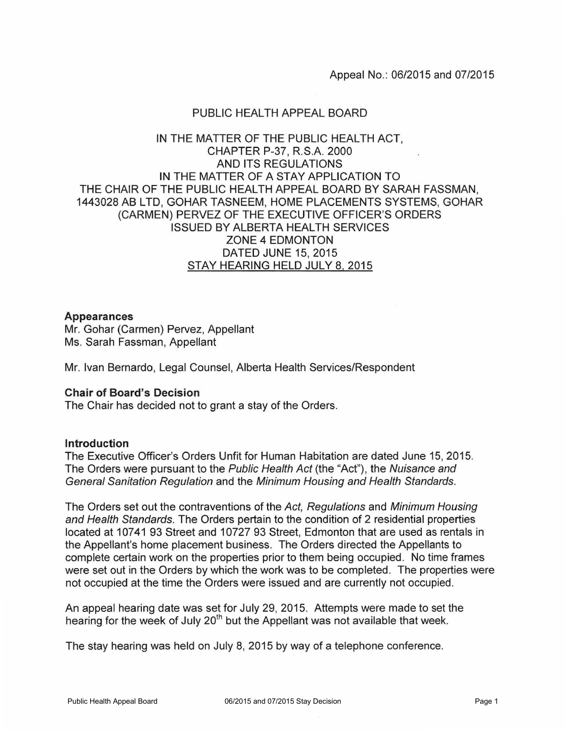## PUBLIC HEALTH APPEAL BOARD

# IN THE MATTER OF THE PUBLIC HEALTH ACT, CHAPTER P-37, R.S.A. 2000 AND ITS REGULATIONS IN THE MATTER OF A STAY APPLICATION TO THE CHAIR OF THE PUBLIC HEALTH APPEAL BOARD BY SARAH FASSMAN, 1443028 AB LTD, GOHAR TASNEEM, HOME PLACEMENTS SYSTEMS, GOHAR (CARMEN) PERVEZ OF THE EXECUTIVE OFFICER'S ORDERS ISSUED BY ALBERTA HEALTH SERVICES ZONE 4 EDMONTON DATED JUNE 15, 2015 STAY HEARING HELD JULY 8, 2015

### **Appearances**

Mr. Gohar (Carmen) Pervez, Appellant Ms. Sarah Fassman, Appellant

Mr. Ivan Bernardo, Legal Counsel, Alberta Health Services/Respondent

### **Chair of Board's Decision**

The Chair has decided not to grant a stay of the Orders.

### **Introduction**

The Executive Officer's Orders Unfit for Human Habitation are dated June 15, 2015. The Orders were pursuant to the Public Health Act (the "Act"), the Nuisance and General Sanitation Regulation and the Minimum Housing and Health Standards.

The Orders set out the contraventions of the Act, Regulations and Minimum Housing and Health Standards. The Orders pertain to the condition of 2 residential properties located at 10741 93 Street and 10727 93 Street, Edmonton that are used as rentals in the Appellant's home placement business. The Orders directed the Appellants to complete certain work on the properties prior to them being occupied. No time frames were set out in the Orders by which the work was to be completed. The properties were not occupied at the time the Orders were issued and are currently not occupied.

An appeal hearing date was set for July 29, 2015. Attempts were made to set the hearing for the week of July 20<sup>th</sup> but the Appellant was not available that week.

The stay hearing was held on July 8, 2015 by way of a telephone conference.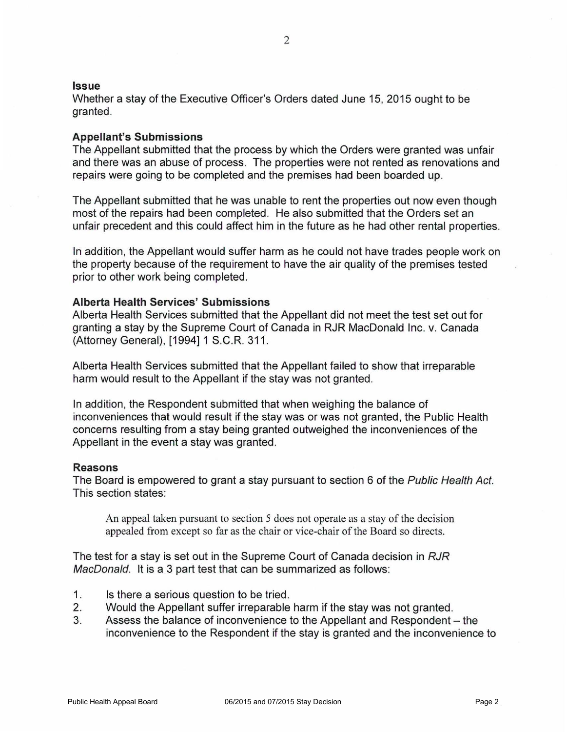#### **Issue**

Whether a stay of the Executive Officer's Orders dated June 15, 2015 ought to be granted.

### **Appellant's Submissions**

The Appellant submitted that the process by which the Orders were granted was unfair and there was an abuse of process. The properties were not rented as renovations and repairs were going to be completed and the premises had been boarded up.

The Appellant submitted that he was unable to rent the properties out now even though most of the repairs had been completed. He also submitted that the Orders set an unfair precedent and this could affect him in the future as he had other rental properties.

In addition, the Appellant would suffer harm as he could not have trades people work on the property because of the requirement to have the air quality of the premises tested prior to other work being completed.

## **Alberta Health Services' Submissions**

Alberta Health Services submitted that the Appellant did not meet the test set out for granting a stay by the Supreme Court of Canada in RJR MacDonald Inc. v. Canada (Attorney General), [1994] 1 S.C.R. 311.

Alberta Health Services submitted that the Appellant failed to show that irreparable harm would result to the Appellant if the stay was not granted.

In addition, the Respondent submitted that when weighing the balance of inconveniences that would result if the stay was or was not granted, the Public Health concerns resulting from a stay being granted outweighed the inconveniences of the Appellant in the event a stay was granted.

### **Reasons**

The Board is empowered to grant a stay pursuant to section 6 of the Public Health Act. This section states:

An appeal taken pursuant to section 5 does not operate as a stay of the decision appealed from except so far as the chair or vice-chair of the Board so directs.

The test for a stay is set out in the Supreme Court of Canada decision in RJR MacDonald. It is a 3 part test that can be summarized as follows:

- 1. Is there a serious question to be tried.
- 2. Would the Appellant suffer irreparable harm if the stay was not granted.
- 3. Assess the balance of inconvenience to the Appellant and Respondent- the inconvenience to the Respondent if the stay is granted and the inconvenience to